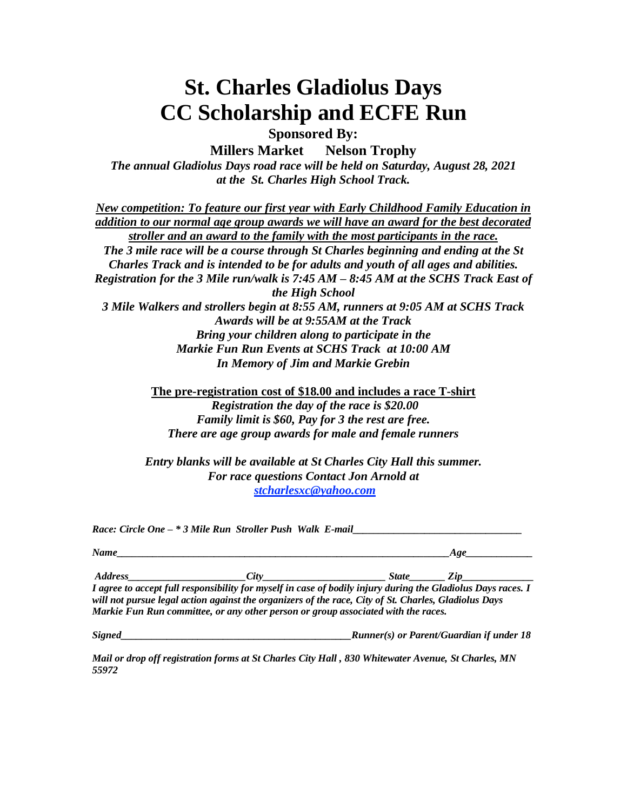## **St. Charles Gladiolus Days CC Scholarship and ECFE Run**

**Sponsored By:**

**Millers Market Nelson Trophy**

*The annual Gladiolus Days road race will be held on Saturday, August 28, 2021 at the St. Charles High School Track.*

*New competition: To feature our first year with Early Childhood Family Education in addition to our normal age group awards we will have an award for the best decorated stroller and an award to the family with the most participants in the race. The 3 mile race will be a course through St Charles beginning and ending at the St Charles Track and is intended to be for adults and youth of all ages and abilities. Registration for the 3 Mile run/walk is 7:45 AM – 8:45 AM at the SCHS Track East of the High School 3 Mile Walkers and strollers begin at 8:55 AM, runners at 9:05 AM at SCHS Track Awards will be at 9:55AM at the Track Bring your children along to participate in the Markie Fun Run Events at SCHS Track at 10:00 AM In Memory of Jim and Markie Grebin*

> **The pre-registration cost of \$18.00 and includes a race T-shirt** *Registration the day of the race is \$20.00 Family limit is \$60, Pay for 3 the rest are free. There are age group awards for male and female runners*

*Entry blanks will be available at St Charles City Hall this summer. For race questions Contact Jon Arnold at [stcharlesxc@yahoo.com](mailto:stcharlesxc@yahoo.com)*

|      | Race: Circle One - * 3 Mile Run Stroller Push Walk E-mail                                                    |           |
|------|--------------------------------------------------------------------------------------------------------------|-----------|
| Name |                                                                                                              | Age       |
|      | Address City City                                                                                            | State Zip |
|      | I agree to accept full responsibility for myself in case of bodily injury during the Gladiolus Days races. I |           |
|      | will not pursue legal action against the organizers of the race, City of St. Charles, Gladiolus Days         |           |
|      | Markie Fun Run committee, or any other person or group associated with the races.                            |           |

*Signed\_\_\_\_\_\_\_\_\_\_\_\_\_\_\_\_\_\_\_\_\_\_\_\_\_\_\_\_\_\_\_\_\_\_\_\_\_\_\_\_\_\_\_\_\_Runner(s) or Parent/Guardian if under 18*

Mail or drop off registration forms at St Charles City Hall, 830 Whitewater Avenue, St Charles, MN *55972*